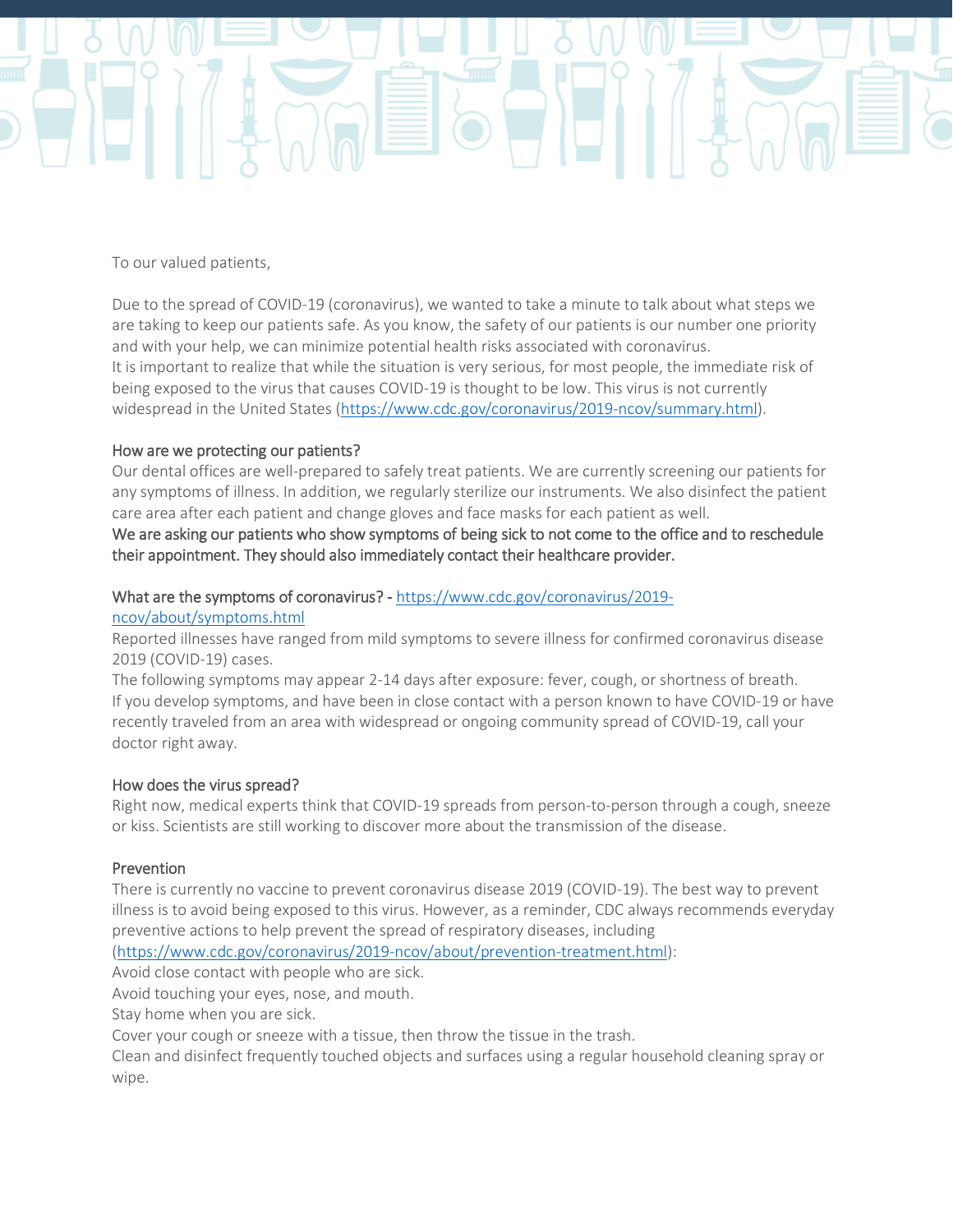

To our valued patients,

Due to the spread of COVID-19 (coronavirus), we wanted to take a minute to talk about what steps we are taking to keep our patients safe. As you know, the safety of our patients is our number one priority and with your help, we can minimize potential health risks associated with coronavirus. It is important to realize that while the situation is very serious, for most people, the immediate risk of being exposed to the virus that causes COVID-19 is thought to be low. This virus is not currently widespread in the United States [\(https://www.cdc.gov/coronavirus/2019-ncov/summary.html\)](https://www.demandforced3.com/bp2/campaigns/promotion/previewPromotionEmail.jsp?campaignId=2063432).

## How are we protecting our patients?

Our dental offices are well-prepared to safely treat patients. We are currently screening our patients for any symptoms of illness. In addition, we regularly sterilize our instruments. We also disinfect the patient care area after each patient and change gloves and face masks for each patient as well.

We are asking our patients who show symptoms of being sick to not come to the office and to reschedule their appointment. They should also immediately contact their healthcare provider.

## What are the symptoms of coronavirus? [- https://www.cdc.gov/coronavirus/2019-](https://www.demandforced3.com/bp2/campaigns/promotion/previewPromotionEmail.jsp?campaignId=2063432)

[ncov/about/symptoms.html](https://www.demandforced3.com/bp2/campaigns/promotion/previewPromotionEmail.jsp?campaignId=2063432)

Reported illnesses have ranged from mild symptoms to severe illness for confirmed coronavirus disease 2019 (COVID-19) cases.

The following symptoms may appear 2-14 days after exposure: fever, cough, or shortness of breath. If you develop symptoms, and have been in close contact with a person known to have COVID-19 or have recently traveled from an area with widespread or ongoing community spread of COVID-19, call your doctor right away.

## How does the virus spread?

Right now, medical experts think that COVID-19 spreads from person-to-person through a cough, sneeze or kiss. Scientists are still working to discover more about the transmission of the disease.

## **Prevention**

There is currently no vaccine to prevent coronavirus disease 2019 (COVID-19). The best way to prevent illness is to avoid being exposed to this virus. However, as a reminder, CDC always recommends everyday preventive actions to help prevent the spread of respiratory diseases, including

[\(https://www.cdc.gov/coronavirus/2019-ncov/about/prevention-treatment.html\)](https://www.demandforced3.com/bp2/campaigns/promotion/previewPromotionEmail.jsp?campaignId=2063432):

Avoid close contact with people who are sick.

Avoid touching your eyes, nose, and mouth.

Stay home when you are sick.

Cover your cough or sneeze with a tissue, then throw the tissue in the trash.

Clean and disinfect frequently touched objects and surfaces using a regular household cleaning spray or wipe.